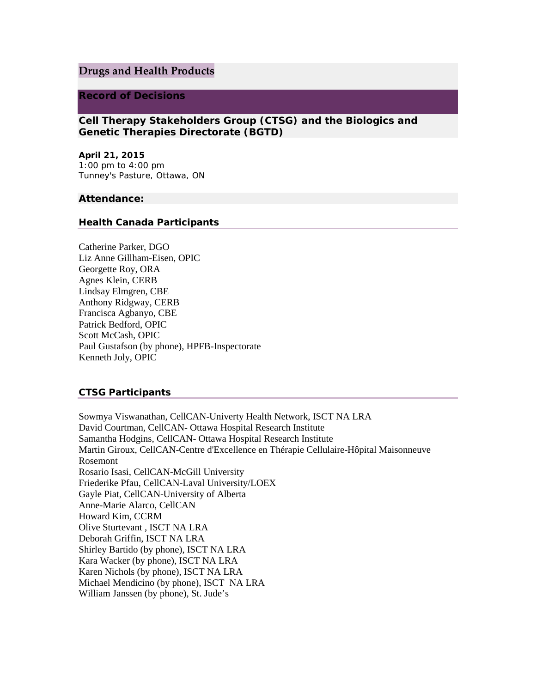# **Drugs and Health Products**

### **Record of Decisions**

**Cell Therapy Stakeholders Group (CTSG) and the Biologics and Genetic Therapies Directorate (BGTD)**

**April 21, 2015** 1:00 pm to 4:00 pm Tunney's Pasture, Ottawa, ON

#### **Attendance:**

#### **Health Canada Participants**

Catherine Parker, DGO Liz Anne Gillham-Eisen, OPIC Georgette Roy, ORA Agnes Klein, CERB Lindsay Elmgren, CBE Anthony Ridgway, CERB Francisca Agbanyo, CBE Patrick Bedford, OPIC Scott McCash, OPIC Paul Gustafson (by phone), HPFB-Inspectorate Kenneth Joly, OPIC

### **CTSG Participants**

Sowmya Viswanathan, CellCAN-Univerty Health Network, ISCT NA LRA David Courtman, CellCAN- Ottawa Hospital Research Institute Samantha Hodgins, CellCAN- Ottawa Hospital Research Institute Martin Giroux, CellCAN-Centre d'Excellence en Thérapie Cellulaire-Hôpital Maisonneuve Rosemont Rosario Isasi, CellCAN-McGill University Friederike Pfau, CellCAN-Laval University/LOEX Gayle Piat, CellCAN-University of Alberta Anne-Marie Alarco, CellCAN Howard Kim, CCRM Olive Sturtevant , ISCT NA LRA Deborah Griffin, ISCT NA LRA Shirley Bartido (by phone), ISCT NA LRA Kara Wacker (by phone), ISCT NA LRA Karen Nichols (by phone), ISCT NA LRA Michael Mendicino (by phone), ISCT NA LRA William Janssen (by phone), St. Jude's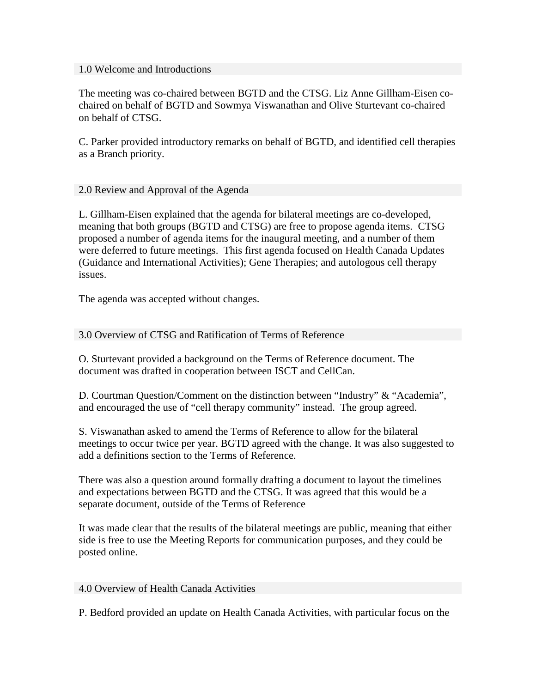### 1.0 Welcome and Introductions

The meeting was co-chaired between BGTD and the CTSG. Liz Anne Gillham-Eisen cochaired on behalf of BGTD and Sowmya Viswanathan and Olive Sturtevant co-chaired on behalf of CTSG.

C. Parker provided introductory remarks on behalf of BGTD, and identified cell therapies as a Branch priority.

# 2.0 Review and Approval of the Agenda

L. Gillham-Eisen explained that the agenda for bilateral meetings are co-developed, meaning that both groups (BGTD and CTSG) are free to propose agenda items. CTSG proposed a number of agenda items for the inaugural meeting, and a number of them were deferred to future meetings. This first agenda focused on Health Canada Updates (Guidance and International Activities); Gene Therapies; and autologous cell therapy issues.

The agenda was accepted without changes.

# 3.0 Overview of CTSG and Ratification of Terms of Reference

O. Sturtevant provided a background on the Terms of Reference document. The document was drafted in cooperation between ISCT and CellCan.

D. Courtman Question/Comment on the distinction between "Industry" & "Academia", and encouraged the use of "cell therapy community" instead. The group agreed.

S. Viswanathan asked to amend the Terms of Reference to allow for the bilateral meetings to occur twice per year. BGTD agreed with the change. It was also suggested to add a definitions section to the Terms of Reference.

There was also a question around formally drafting a document to layout the timelines and expectations between BGTD and the CTSG. It was agreed that this would be a separate document, outside of the Terms of Reference

It was made clear that the results of the bilateral meetings are public, meaning that either side is free to use the Meeting Reports for communication purposes, and they could be posted online.

## 4.0 Overview of Health Canada Activities

P. Bedford provided an update on Health Canada Activities, with particular focus on the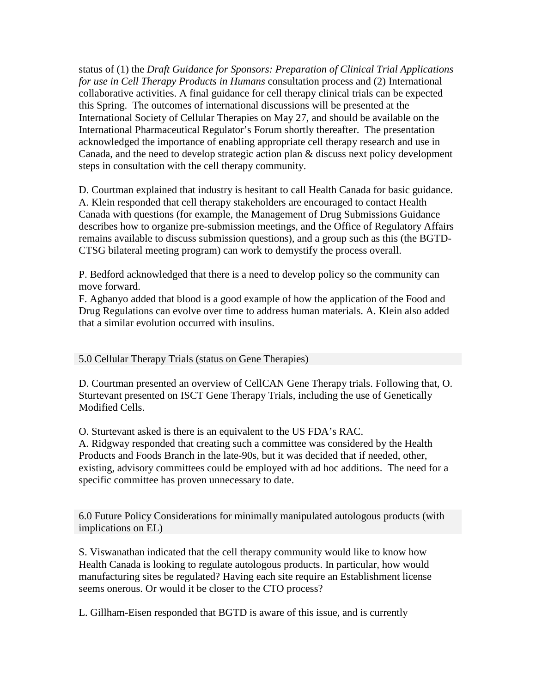status of (1) the *Draft Guidance for Sponsors: Preparation of Clinical Trial Applications for use in Cell Therapy Products in Humans* consultation process and (2) International collaborative activities. A final guidance for cell therapy clinical trials can be expected this Spring. The outcomes of international discussions will be presented at the International Society of Cellular Therapies on May 27, and should be available on the International Pharmaceutical Regulator's Forum shortly thereafter. The presentation acknowledged the importance of enabling appropriate cell therapy research and use in Canada, and the need to develop strategic action plan & discuss next policy development steps in consultation with the cell therapy community.

D. Courtman explained that industry is hesitant to call Health Canada for basic guidance. A. Klein responded that cell therapy stakeholders are encouraged to contact Health Canada with questions (for example, the Management of Drug Submissions Guidance describes how to organize pre-submission meetings, and the Office of Regulatory Affairs remains available to discuss submission questions), and a group such as this (the BGTD-CTSG bilateral meeting program) can work to demystify the process overall.

P. Bedford acknowledged that there is a need to develop policy so the community can move forward.

F. Agbanyo added that blood is a good example of how the application of the Food and Drug Regulations can evolve over time to address human materials. A. Klein also added that a similar evolution occurred with insulins.

5.0 Cellular Therapy Trials (status on Gene Therapies)

D. Courtman presented an overview of CellCAN Gene Therapy trials. Following that, O. Sturtevant presented on ISCT Gene Therapy Trials, including the use of Genetically Modified Cells.

O. Sturtevant asked is there is an equivalent to the US FDA's RAC.

A. Ridgway responded that creating such a committee was considered by the Health Products and Foods Branch in the late-90s, but it was decided that if needed, other, existing, advisory committees could be employed with ad hoc additions. The need for a specific committee has proven unnecessary to date.

6.0 Future Policy Considerations for minimally manipulated autologous products (with implications on EL)

S. Viswanathan indicated that the cell therapy community would like to know how Health Canada is looking to regulate autologous products. In particular, how would manufacturing sites be regulated? Having each site require an Establishment license seems onerous. Or would it be closer to the CTO process?

L. Gillham-Eisen responded that BGTD is aware of this issue, and is currently